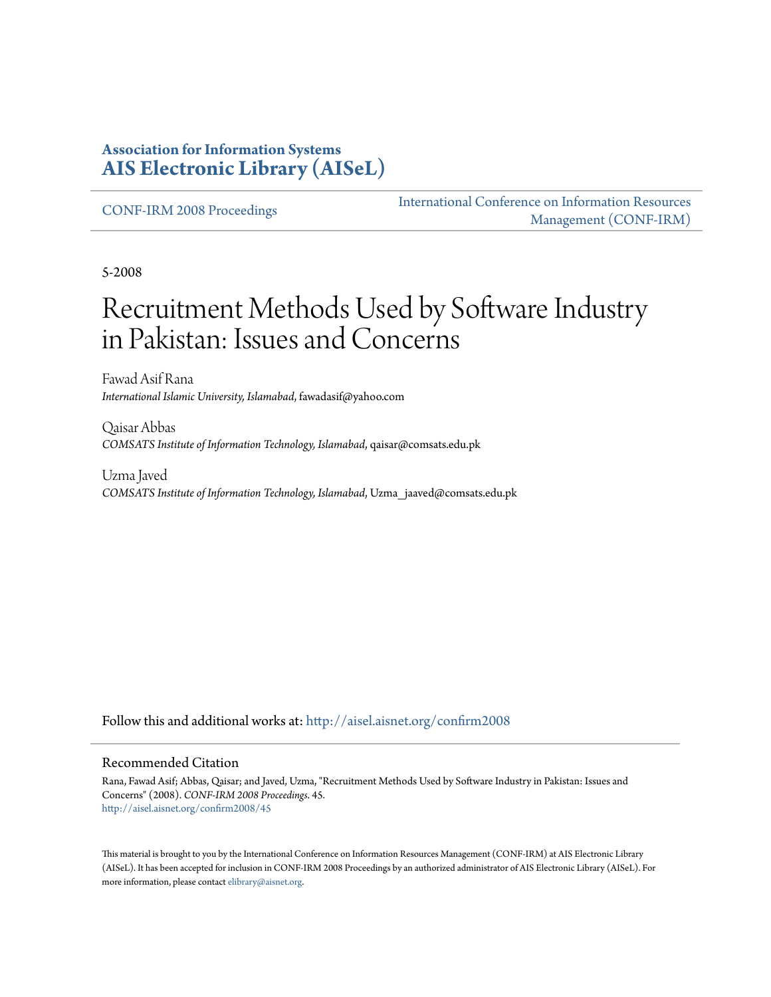#### **Association for Information Systems [AIS Electronic Library \(AISeL\)](http://aisel.aisnet.org?utm_source=aisel.aisnet.org%2Fconfirm2008%2F45&utm_medium=PDF&utm_campaign=PDFCoverPages)**

[CONF-IRM 2008 Proceedings](http://aisel.aisnet.org/confirm2008?utm_source=aisel.aisnet.org%2Fconfirm2008%2F45&utm_medium=PDF&utm_campaign=PDFCoverPages)

[International Conference on Information Resources](http://aisel.aisnet.org/conf-irm?utm_source=aisel.aisnet.org%2Fconfirm2008%2F45&utm_medium=PDF&utm_campaign=PDFCoverPages) [Management \(CONF-IRM\)](http://aisel.aisnet.org/conf-irm?utm_source=aisel.aisnet.org%2Fconfirm2008%2F45&utm_medium=PDF&utm_campaign=PDFCoverPages)

5-2008

# Recruitment Methods Used by Software Industry in Pakistan: Issues and Concerns

Fawad Asif Rana *International Islamic University, Islamabad*, fawadasif@yahoo.com

Qaisar Abbas *COMSATS Institute of Information Technology, Islamabad*, qaisar@comsats.edu.pk

Uzma Javed *COMSATS Institute of Information Technology, Islamabad*, Uzma\_jaaved@comsats.edu.pk

Follow this and additional works at: [http://aisel.aisnet.org/confirm2008](http://aisel.aisnet.org/confirm2008?utm_source=aisel.aisnet.org%2Fconfirm2008%2F45&utm_medium=PDF&utm_campaign=PDFCoverPages)

#### Recommended Citation

Rana, Fawad Asif; Abbas, Qaisar; and Javed, Uzma, "Recruitment Methods Used by Software Industry in Pakistan: Issues and Concerns" (2008). *CONF-IRM 2008 Proceedings*. 45. [http://aisel.aisnet.org/confirm2008/45](http://aisel.aisnet.org/confirm2008/45?utm_source=aisel.aisnet.org%2Fconfirm2008%2F45&utm_medium=PDF&utm_campaign=PDFCoverPages)

This material is brought to you by the International Conference on Information Resources Management (CONF-IRM) at AIS Electronic Library (AISeL). It has been accepted for inclusion in CONF-IRM 2008 Proceedings by an authorized administrator of AIS Electronic Library (AISeL). For more information, please contact [elibrary@aisnet.org.](mailto:elibrary@aisnet.org%3E)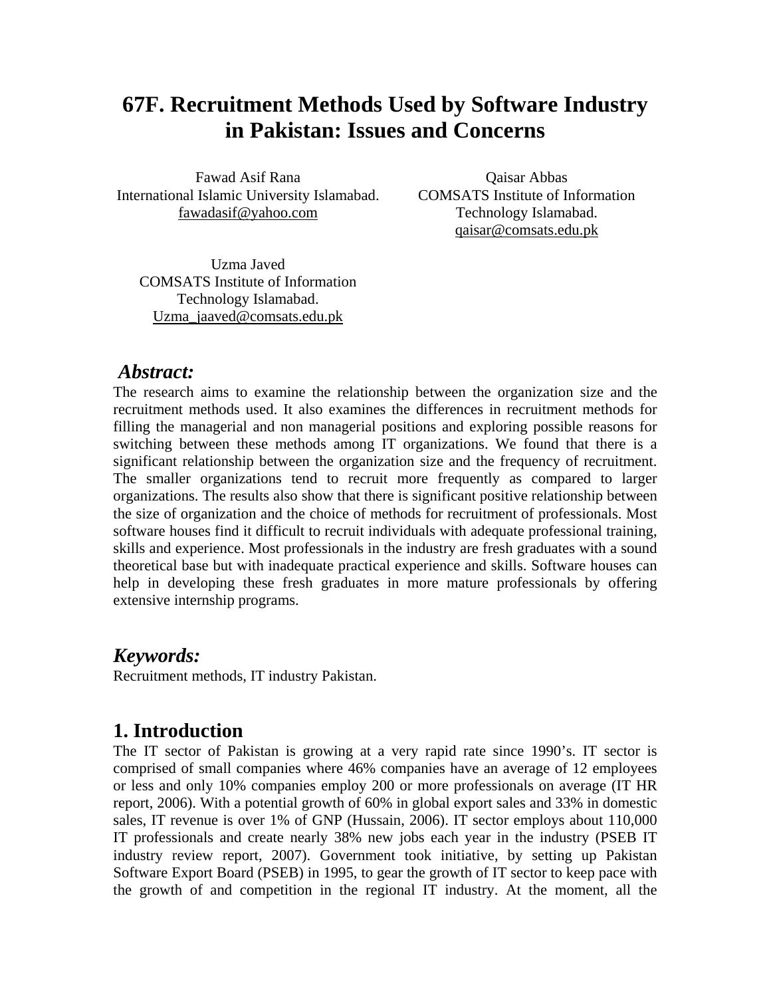# **67F. Recruitment Methods Used by Software Industry in Pakistan: Issues and Concerns**

Fawad Asif Rana International Islamic University Islamabad. fawadasif@yahoo.com

Qaisar Abbas COMSATS Institute of Information Technology Islamabad. qaisar@comsats.edu.pk

Uzma Javed COMSATS Institute of Information Technology Islamabad. Uzma\_jaaved@comsats.edu.pk

#### *Abstract:*

The research aims to examine the relationship between the organization size and the recruitment methods used. It also examines the differences in recruitment methods for filling the managerial and non managerial positions and exploring possible reasons for switching between these methods among IT organizations. We found that there is a significant relationship between the organization size and the frequency of recruitment. The smaller organizations tend to recruit more frequently as compared to larger organizations. The results also show that there is significant positive relationship between the size of organization and the choice of methods for recruitment of professionals. Most software houses find it difficult to recruit individuals with adequate professional training, skills and experience. Most professionals in the industry are fresh graduates with a sound theoretical base but with inadequate practical experience and skills. Software houses can help in developing these fresh graduates in more mature professionals by offering extensive internship programs.

#### *Keywords:*

Recruitment methods, IT industry Pakistan.

### **1. Introduction**

The IT sector of Pakistan is growing at a very rapid rate since 1990's. IT sector is comprised of small companies where 46% companies have an average of 12 employees or less and only 10% companies employ 200 or more professionals on average (IT HR report, 2006). With a potential growth of 60% in global export sales and 33% in domestic sales, IT revenue is over 1% of GNP (Hussain, 2006). IT sector employs about 110,000 IT professionals and create nearly 38% new jobs each year in the industry (PSEB IT industry review report, 2007). Government took initiative, by setting up Pakistan Software Export Board (PSEB) in 1995, to gear the growth of IT sector to keep pace with the growth of and competition in the regional IT industry. At the moment, all the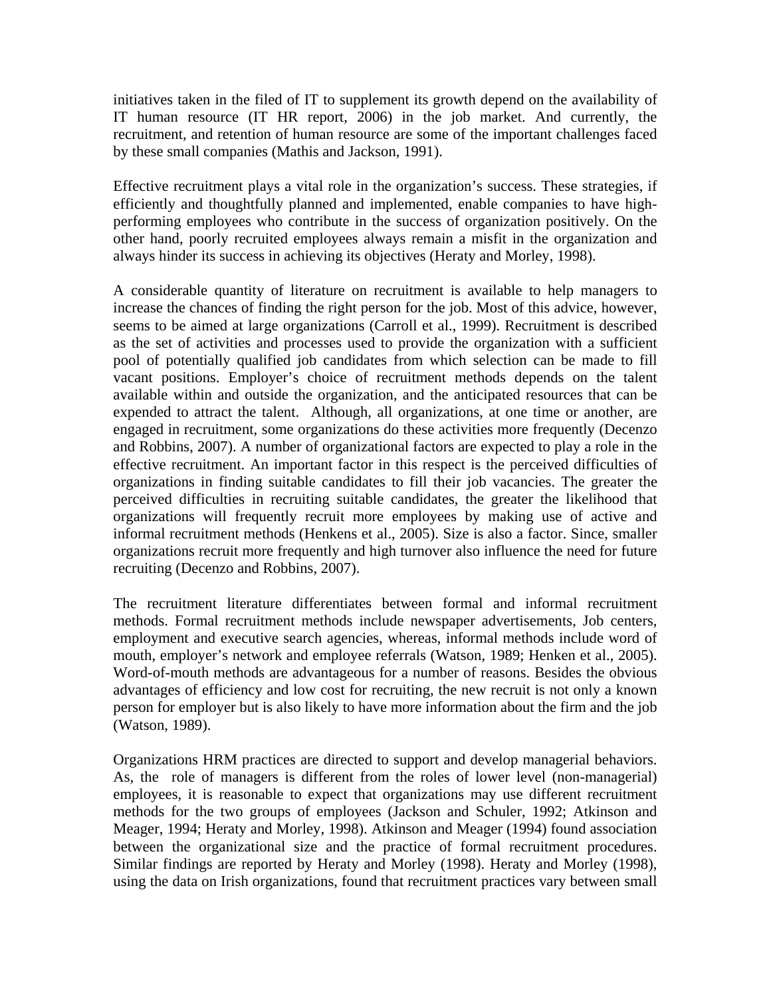initiatives taken in the filed of IT to supplement its growth depend on the availability of IT human resource (IT HR report, 2006) in the job market. And currently, the recruitment, and retention of human resource are some of the important challenges faced by these small companies (Mathis and Jackson, 1991).

Effective recruitment plays a vital role in the organization's success. These strategies, if efficiently and thoughtfully planned and implemented, enable companies to have highperforming employees who contribute in the success of organization positively. On the other hand, poorly recruited employees always remain a misfit in the organization and always hinder its success in achieving its objectives (Heraty and Morley, 1998).

A considerable quantity of literature on recruitment is available to help managers to increase the chances of finding the right person for the job. Most of this advice, however, seems to be aimed at large organizations (Carroll et al., 1999). Recruitment is described as the set of activities and processes used to provide the organization with a sufficient pool of potentially qualified job candidates from which selection can be made to fill vacant positions. Employer's choice of recruitment methods depends on the talent available within and outside the organization, and the anticipated resources that can be expended to attract the talent. Although, all organizations, at one time or another, are engaged in recruitment, some organizations do these activities more frequently (Decenzo and Robbins, 2007). A number of organizational factors are expected to play a role in the effective recruitment. An important factor in this respect is the perceived difficulties of organizations in finding suitable candidates to fill their job vacancies. The greater the perceived difficulties in recruiting suitable candidates, the greater the likelihood that organizations will frequently recruit more employees by making use of active and informal recruitment methods (Henkens et al., 2005). Size is also a factor. Since, smaller organizations recruit more frequently and high turnover also influence the need for future recruiting (Decenzo and Robbins, 2007).

The recruitment literature differentiates between formal and informal recruitment methods. Formal recruitment methods include newspaper advertisements, Job centers, employment and executive search agencies, whereas, informal methods include word of mouth, employer's network and employee referrals (Watson, 1989; Henken et al., 2005). Word-of-mouth methods are advantageous for a number of reasons. Besides the obvious advantages of efficiency and low cost for recruiting, the new recruit is not only a known person for employer but is also likely to have more information about the firm and the job (Watson, 1989).

Organizations HRM practices are directed to support and develop managerial behaviors. As, the role of managers is different from the roles of lower level (non-managerial) employees, it is reasonable to expect that organizations may use different recruitment methods for the two groups of employees (Jackson and Schuler, 1992; Atkinson and Meager, 1994; Heraty and Morley, 1998). Atkinson and Meager (1994) found association between the organizational size and the practice of formal recruitment procedures. Similar findings are reported by Heraty and Morley (1998). Heraty and Morley (1998), using the data on Irish organizations, found that recruitment practices vary between small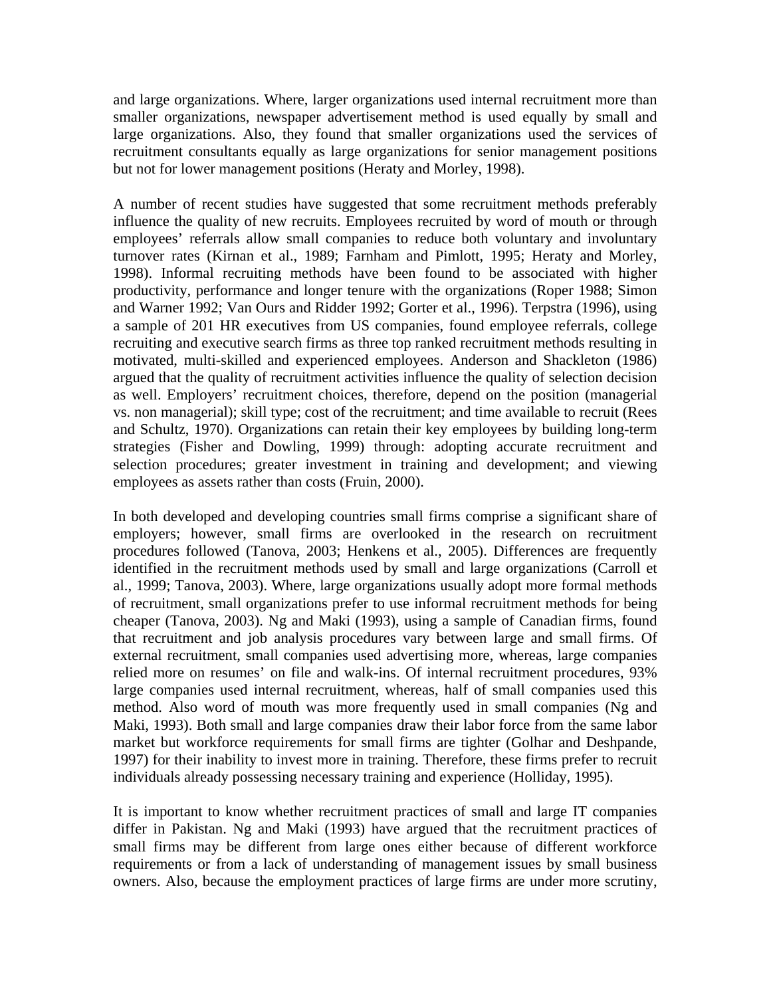and large organizations. Where, larger organizations used internal recruitment more than smaller organizations, newspaper advertisement method is used equally by small and large organizations. Also, they found that smaller organizations used the services of recruitment consultants equally as large organizations for senior management positions but not for lower management positions (Heraty and Morley, 1998).

A number of recent studies have suggested that some recruitment methods preferably influence the quality of new recruits. Employees recruited by word of mouth or through employees' referrals allow small companies to reduce both voluntary and involuntary turnover rates (Kirnan et al., 1989; Farnham and Pimlott, 1995; Heraty and Morley, 1998). Informal recruiting methods have been found to be associated with higher productivity, performance and longer tenure with the organizations (Roper 1988; Simon and Warner 1992; Van Ours and Ridder 1992; Gorter et al., 1996). Terpstra (1996), using a sample of 201 HR executives from US companies, found employee referrals, college recruiting and executive search firms as three top ranked recruitment methods resulting in motivated, multi-skilled and experienced employees. Anderson and Shackleton (1986) argued that the quality of recruitment activities influence the quality of selection decision as well. Employers' recruitment choices, therefore, depend on the position (managerial vs. non managerial); skill type; cost of the recruitment; and time available to recruit (Rees and Schultz, 1970). Organizations can retain their key employees by building long-term strategies (Fisher and Dowling, 1999) through: adopting accurate recruitment and selection procedures; greater investment in training and development; and viewing employees as assets rather than costs (Fruin, 2000).

In both developed and developing countries small firms comprise a significant share of employers; however, small firms are overlooked in the research on recruitment procedures followed (Tanova, 2003; Henkens et al., 2005). Differences are frequently identified in the recruitment methods used by small and large organizations (Carroll et al., 1999; Tanova, 2003). Where, large organizations usually adopt more formal methods of recruitment, small organizations prefer to use informal recruitment methods for being cheaper (Tanova, 2003). Ng and Maki (1993), using a sample of Canadian firms, found that recruitment and job analysis procedures vary between large and small firms. Of external recruitment, small companies used advertising more, whereas, large companies relied more on resumes' on file and walk-ins. Of internal recruitment procedures, 93% large companies used internal recruitment, whereas, half of small companies used this method. Also word of mouth was more frequently used in small companies (Ng and Maki, 1993). Both small and large companies draw their labor force from the same labor market but workforce requirements for small firms are tighter (Golhar and Deshpande, 1997) for their inability to invest more in training. Therefore, these firms prefer to recruit individuals already possessing necessary training and experience (Holliday, 1995).

It is important to know whether recruitment practices of small and large IT companies differ in Pakistan. Ng and Maki (1993) have argued that the recruitment practices of small firms may be different from large ones either because of different workforce requirements or from a lack of understanding of management issues by small business owners. Also, because the employment practices of large firms are under more scrutiny,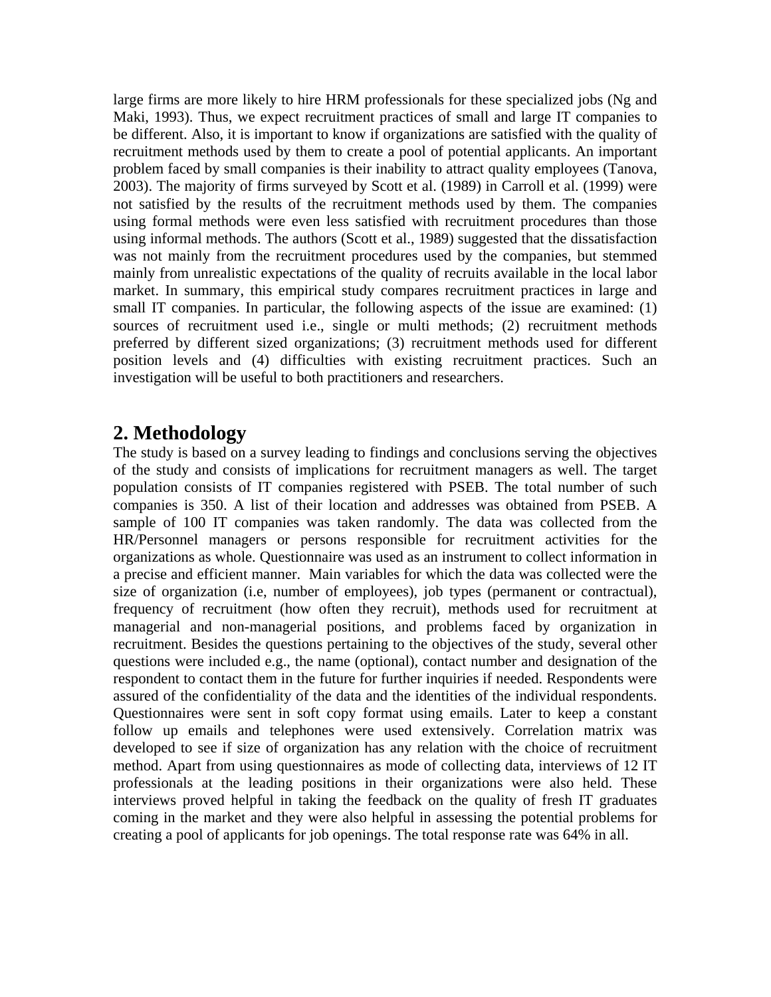large firms are more likely to hire HRM professionals for these specialized jobs (Ng and Maki, 1993). Thus, we expect recruitment practices of small and large IT companies to be different. Also, it is important to know if organizations are satisfied with the quality of recruitment methods used by them to create a pool of potential applicants. An important problem faced by small companies is their inability to attract quality employees (Tanova, 2003). The majority of firms surveyed by Scott et al. (1989) in Carroll et al. (1999) were not satisfied by the results of the recruitment methods used by them. The companies using formal methods were even less satisfied with recruitment procedures than those using informal methods. The authors (Scott et al., 1989) suggested that the dissatisfaction was not mainly from the recruitment procedures used by the companies, but stemmed mainly from unrealistic expectations of the quality of recruits available in the local labor market. In summary, this empirical study compares recruitment practices in large and small IT companies. In particular, the following aspects of the issue are examined: (1) sources of recruitment used i.e., single or multi methods; (2) recruitment methods preferred by different sized organizations; (3) recruitment methods used for different position levels and (4) difficulties with existing recruitment practices. Such an investigation will be useful to both practitioners and researchers.

**2. Methodology**<br>The study is based on a survey leading to findings and conclusions serving the objectives of the study and consists of implications for recruitment managers as well. The target population consists of IT companies registered with PSEB. The total number of such companies is 350. A list of their location and addresses was obtained from PSEB. A sample of 100 IT companies was taken randomly. The data was collected from the HR/Personnel managers or persons responsible for recruitment activities for the organizations as whole. Questionnaire was used as an instrument to collect information in a precise and efficient manner. Main variables for which the data was collected were the size of organization (i.e, number of employees), job types (permanent or contractual), frequency of recruitment (how often they recruit), methods used for recruitment at managerial and non-managerial positions, and problems faced by organization in recruitment. Besides the questions pertaining to the objectives of the study, several other questions were included e.g., the name (optional), contact number and designation of the respondent to contact them in the future for further inquiries if needed. Respondents were assured of the confidentiality of the data and the identities of the individual respondents. Questionnaires were sent in soft copy format using emails. Later to keep a constant follow up emails and telephones were used extensively. Correlation matrix was developed to see if size of organization has any relation with the choice of recruitment method. Apart from using questionnaires as mode of collecting data, interviews of 12 IT professionals at the leading positions in their organizations were also held. These interviews proved helpful in taking the feedback on the quality of fresh IT graduates coming in the market and they were also helpful in assessing the potential problems for creating a pool of applicants for job openings. The total response rate was 64% in all.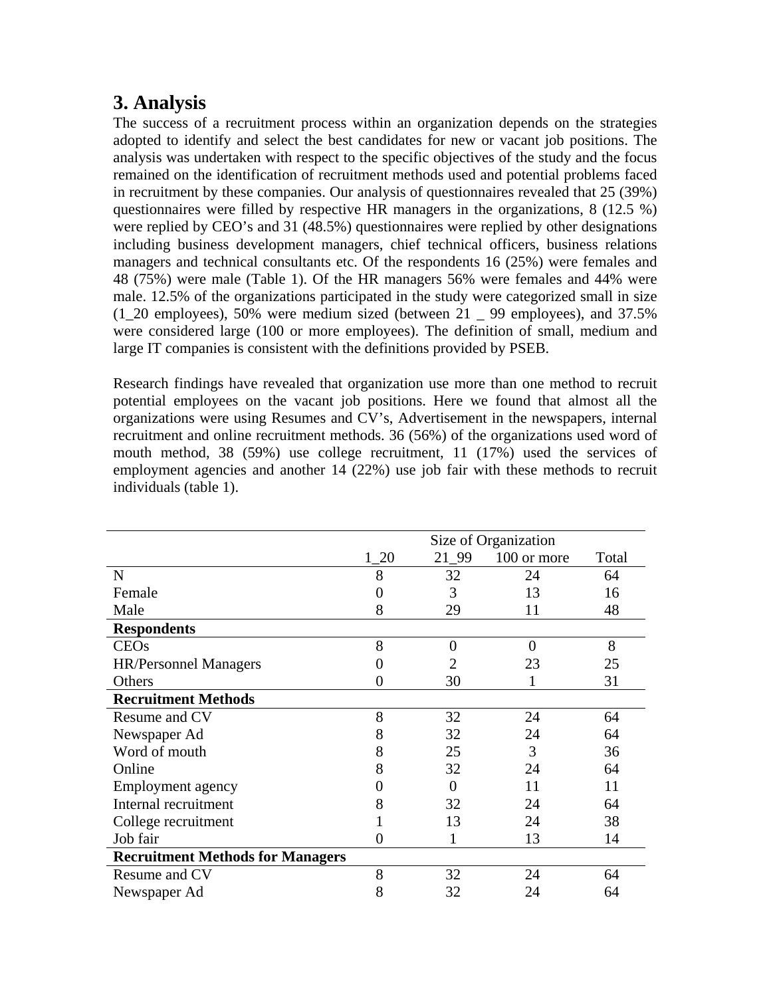# **3. Analysis**

The success of a recruitment process within an organization depends on the strategies adopted to identify and select the best candidates for new or vacant job positions. The analysis was undertaken with respect to the specific objectives of the study and the focus remained on the identification of recruitment methods used and potential problems faced in recruitment by these companies. Our analysis of questionnaires revealed that 25 (39%) questionnaires were filled by respective HR managers in the organizations, 8 (12.5 %) were replied by CEO's and 31 (48.5%) questionnaires were replied by other designations including business development managers, chief technical officers, business relations managers and technical consultants etc. Of the respondents 16 (25%) were females and 48 (75%) were male (Table 1). Of the HR managers 56% were females and 44% were male. 12.5% of the organizations participated in the study were categorized small in size (1\_20 employees), 50% were medium sized (between 21 \_ 99 employees), and 37.5% were considered large (100 or more employees). The definition of small, medium and large IT companies is consistent with the definitions provided by PSEB.

Research findings have revealed that organization use more than one method to recruit potential employees on the vacant job positions. Here we found that almost all the organizations were using Resumes and CV's, Advertisement in the newspapers, internal recruitment and online recruitment methods. 36 (56%) of the organizations used word of mouth method, 38 (59%) use college recruitment, 11 (17%) used the services of employment agencies and another 14 (22%) use job fair with these methods to recruit individuals (table 1).

|                                         | Size of Organization |          |             |       |  |  |
|-----------------------------------------|----------------------|----------|-------------|-------|--|--|
|                                         | $1_{.20}$            | 21 99    | 100 or more | Total |  |  |
| $\mathbf N$                             | 8                    | 32       | 24          | 64    |  |  |
| Female                                  |                      | 3        | 13          | 16    |  |  |
| Male                                    | 8                    | 29       | 11          | 48    |  |  |
| <b>Respondents</b>                      |                      |          |             |       |  |  |
| <b>CEOs</b>                             | 8                    | $\theta$ | $\theta$    | 8     |  |  |
| <b>HR/Personnel Managers</b>            |                      |          | 23          | 25    |  |  |
| Others                                  |                      | 30       |             | 31    |  |  |
| <b>Recruitment Methods</b>              |                      |          |             |       |  |  |
| Resume and CV                           | 8                    | 32       | 24          | 64    |  |  |
| Newspaper Ad                            | 8                    | 32       | 24          | 64    |  |  |
| Word of mouth                           | 8                    | 25       | 3           | 36    |  |  |
| Online                                  | 8                    | 32       | 24          | 64    |  |  |
| <b>Employment</b> agency                |                      | $\Omega$ | 11          | 11    |  |  |
| Internal recruitment                    |                      | 32       | 24          | 64    |  |  |
| College recruitment                     |                      | 13       | 24          | 38    |  |  |
| Job fair                                | 0                    |          | 13          | 14    |  |  |
| <b>Recruitment Methods for Managers</b> |                      |          |             |       |  |  |
| Resume and CV                           | 8                    | 32       | 24          | 64    |  |  |
| Newspaper Ad                            | 8                    | 32       | 24          | 64    |  |  |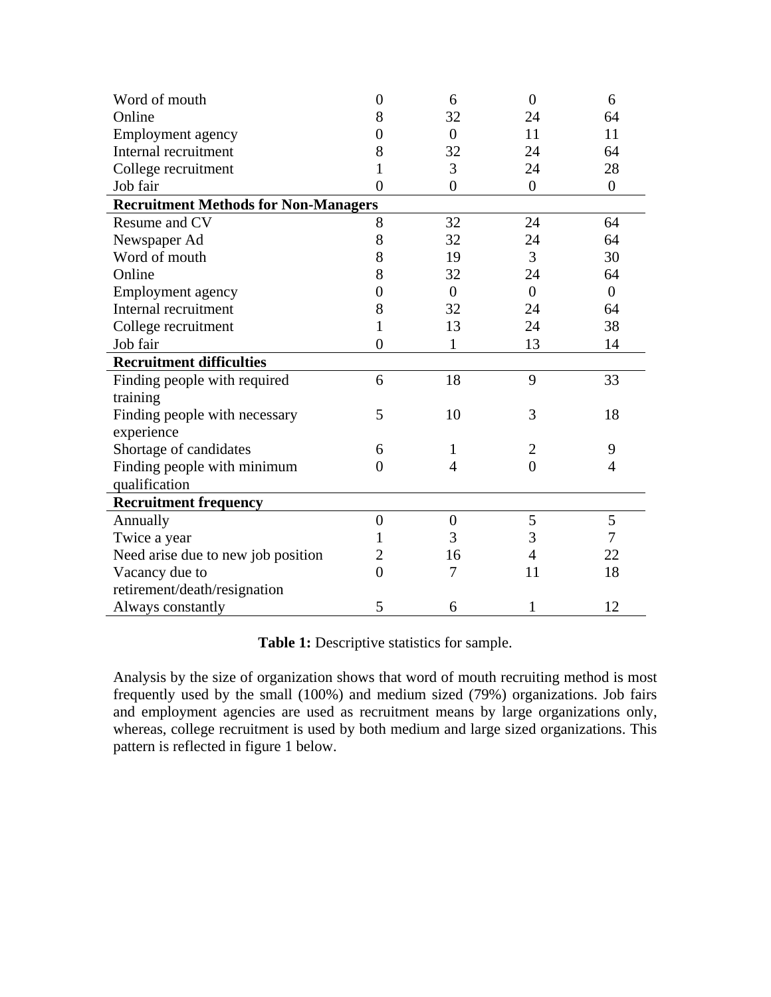| Word of mouth                               | $\overline{0}$ | 6              | $\overline{0}$   | 6              |  |  |  |
|---------------------------------------------|----------------|----------------|------------------|----------------|--|--|--|
| Online                                      | 8              | 32             | 24               | 64             |  |  |  |
| Employment agency                           | 0              | $\overline{0}$ | 11               | 11             |  |  |  |
| Internal recruitment                        | 8              | 32             | 24               | 64             |  |  |  |
| College recruitment                         |                | 3              | 24               | 28             |  |  |  |
| Job fair                                    | $\overline{0}$ | $\overline{0}$ | $\boldsymbol{0}$ | $\overline{0}$ |  |  |  |
| <b>Recruitment Methods for Non-Managers</b> |                |                |                  |                |  |  |  |
| Resume and CV                               | 8              | 32             | 24               | 64             |  |  |  |
| Newspaper Ad                                | 8              | 32             | 24               | 64             |  |  |  |
| Word of mouth                               | 8              | 19             | 3                | 30             |  |  |  |
| Online                                      | 8              | 32             | 24               | 64             |  |  |  |
| Employment agency                           | 0              | $\Omega$       | $\Omega$         | $\theta$       |  |  |  |
| Internal recruitment                        | 8              | 32             | 24               | 64             |  |  |  |
| College recruitment                         | 1              | 13             | 24               | 38             |  |  |  |
| Job fair                                    | $\theta$       | 1              | 13               | 14             |  |  |  |
| <b>Recruitment difficulties</b>             |                |                |                  |                |  |  |  |
| Finding people with required                | 6              | 18             | 9                | 33             |  |  |  |
| training                                    |                |                |                  |                |  |  |  |
| Finding people with necessary               | 5              | 10             | 3                | 18             |  |  |  |
| experience                                  |                |                |                  |                |  |  |  |
| Shortage of candidates                      | 6              | 1              | $\overline{2}$   | 9              |  |  |  |
| Finding people with minimum                 | $\overline{0}$ | $\overline{4}$ | $\overline{0}$   | $\overline{4}$ |  |  |  |
| qualification                               |                |                |                  |                |  |  |  |
| <b>Recruitment frequency</b>                |                |                |                  |                |  |  |  |
| Annually                                    | $\overline{0}$ | $\overline{0}$ | 5                | 5              |  |  |  |
| Twice a year                                | 1              | 3              | 3                | 7              |  |  |  |
| Need arise due to new job position          | 2              | 16             | 4                | 22             |  |  |  |
| Vacancy due to                              | $\theta$       | 7              | 11               | 18             |  |  |  |
| retirement/death/resignation                |                |                |                  |                |  |  |  |
| Always constantly                           | 5              | 6              | 1                | 12             |  |  |  |

**Table 1:** Descriptive statistics for sample.

Analysis by the size of organization shows that word of mouth recruiting method is most frequently used by the small (100%) and medium sized (79%) organizations. Job fairs and employment agencies are used as recruitment means by large organizations only, whereas, college recruitment is used by both medium and large sized organizations. This pattern is reflected in figure 1 below.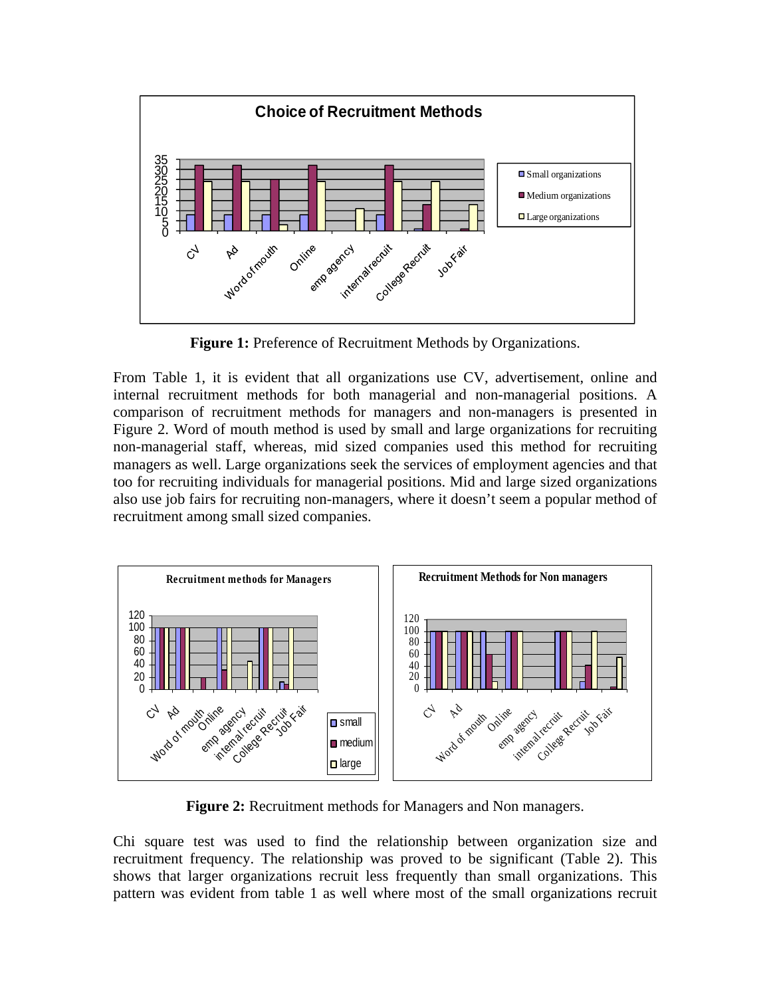

**Figure 1:** Preference of Recruitment Methods by Organizations.

From Table 1, it is evident that all organizations use CV, advertisement, online and internal recruitment methods for both managerial and non-managerial positions. A comparison of recruitment methods for managers and non-managers is presented in Figure 2. Word of mouth method is used by small and large organizations for recruiting non-managerial staff, whereas, mid sized companies used this method for recruiting managers as well. Large organizations seek the services of employment agencies and that too for recruiting individuals for managerial positions. Mid and large sized organizations also use job fairs for recruiting non-managers, where it doesn't seem a popular method of recruitment among small sized companies.



**Figure 2:** Recruitment methods for Managers and Non managers.

Chi square test was used to find the relationship between organization size and recruitment frequency. The relationship was proved to be significant (Table 2). This shows that larger organizations recruit less frequently than small organizations. This pattern was evident from table 1 as well where most of the small organizations recruit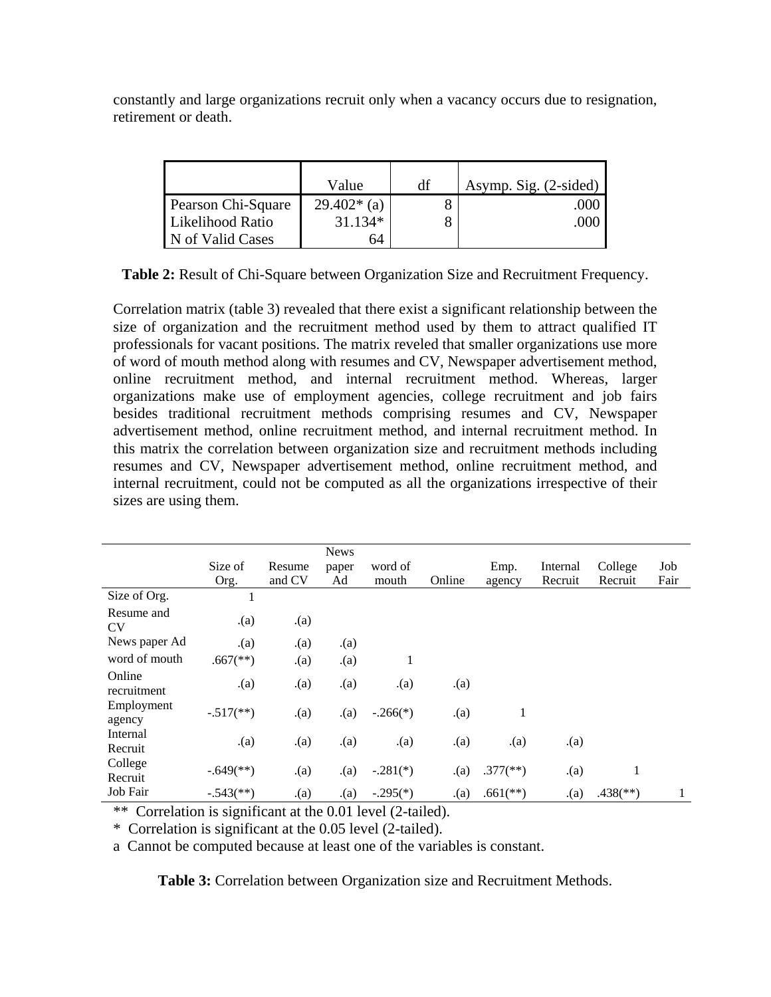constantly and large organizations recruit only when a vacancy occurs due to resignation, retirement or death.

|                    | Value        | df | Asymp. Sig. (2-sided) |
|--------------------|--------------|----|-----------------------|
| Pearson Chi-Square | $29.402*(a)$ |    | .000                  |
| Likelihood Ratio   | $31.134*$    |    | .000                  |
| N of Valid Cases   | 64           |    |                       |

**Table 2:** Result of Chi-Square between Organization Size and Recruitment Frequency.

Correlation matrix (table 3) revealed that there exist a significant relationship between the size of organization and the recruitment method used by them to attract qualified IT professionals for vacant positions. The matrix reveled that smaller organizations use more of word of mouth method along with resumes and CV, Newspaper advertisement method, online recruitment method, and internal recruitment method. Whereas, larger organizations make use of employment agencies, college recruitment and job fairs besides traditional recruitment methods comprising resumes and CV, Newspaper advertisement method, online recruitment method, and internal recruitment method. In this matrix the correlation between organization size and recruitment methods including resumes and CV, Newspaper advertisement method, online recruitment method, and internal recruitment, could not be computed as all the organizations irrespective of their sizes are using them.

|                         |                          |        | <b>News</b> |            |        |                          |          |                          |      |
|-------------------------|--------------------------|--------|-------------|------------|--------|--------------------------|----------|--------------------------|------|
|                         | Size of                  | Resume | paper       | word of    |        | Emp.                     | Internal | College                  | Job  |
|                         | Org.                     | and CV | Ad          | mouth      | Online | agency                   | Recruit  | Recruit                  | Fair |
| Size of Org.            | 1                        |        |             |            |        |                          |          |                          |      |
| Resume and<br><b>CV</b> | (a)                      | (a)    |             |            |        |                          |          |                          |      |
| News paper Ad           | (a)                      | (a)    | (a)         |            |        |                          |          |                          |      |
| word of mouth           | $.667$ <sup>(**)</sup> ) | (a)    | (a)         | 1          |        |                          |          |                          |      |
| Online<br>recruitment   | (a)                      | (a)    | (a)         | (a)        | (a)    |                          |          |                          |      |
| Employment<br>agency    | $-.517$ <sup>**</sup> )  | (a)    | (a)         | $-.266(*)$ | (a)    | 1                        |          |                          |      |
| Internal<br>Recruit     | (a)                      | (a)    | (a)         | (a)        | (a)    | (a)                      | (a)      |                          |      |
| College<br>Recruit      | $-.649$ <sup>**</sup> )  | (a)    | (a)         | $-.281(*)$ | (a)    | $.377$ <sup>(**)</sup> ) | (a)      | 1                        |      |
| Job Fair                | $-.543$ <sup>**</sup> )  | (a)    | (a)         | $-.295(*)$ | (a)    | $.661$ <sup>(**)</sup> ) | (a)      | $.438$ <sup>(**)</sup> ) |      |

\*\* Correlation is significant at the 0.01 level (2-tailed).

\* Correlation is significant at the 0.05 level (2-tailed).

a Cannot be computed because at least one of the variables is constant.

**Table 3:** Correlation between Organization size and Recruitment Methods.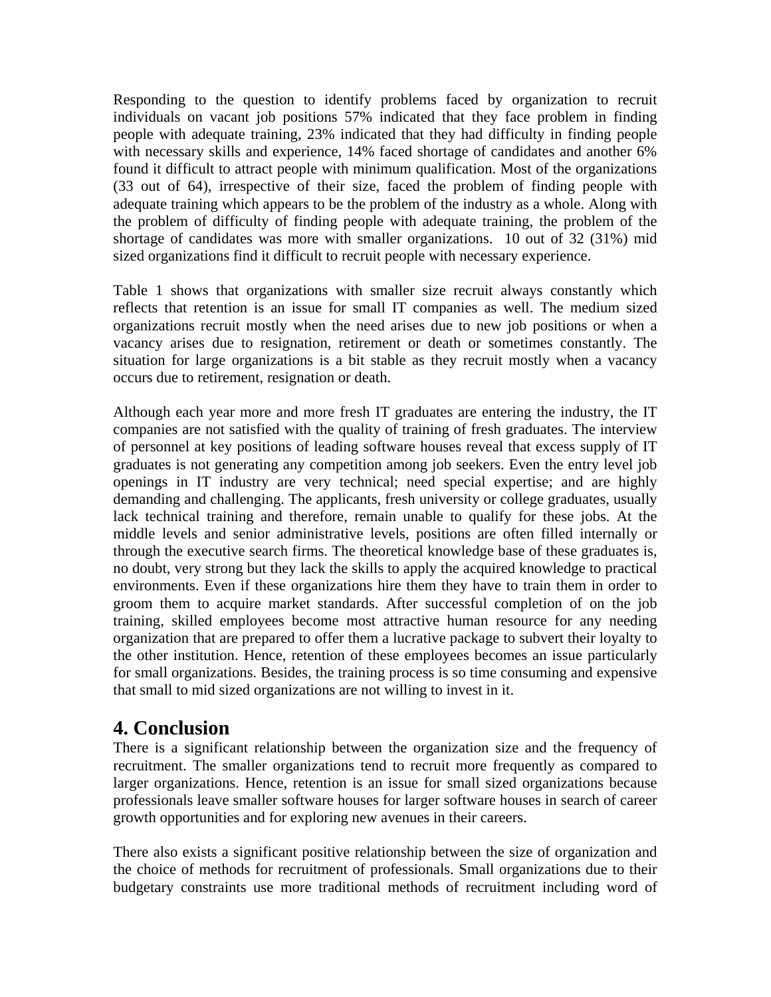Responding to the question to identify problems faced by organization to recruit individuals on vacant job positions 57% indicated that they face problem in finding people with adequate training, 23% indicated that they had difficulty in finding people with necessary skills and experience, 14% faced shortage of candidates and another 6% found it difficult to attract people with minimum qualification. Most of the organizations (33 out of 64), irrespective of their size, faced the problem of finding people with adequate training which appears to be the problem of the industry as a whole. Along with the problem of difficulty of finding people with adequate training, the problem of the shortage of candidates was more with smaller organizations. 10 out of 32 (31%) mid sized organizations find it difficult to recruit people with necessary experience.

Table 1 shows that organizations with smaller size recruit always constantly which reflects that retention is an issue for small IT companies as well. The medium sized organizations recruit mostly when the need arises due to new job positions or when a vacancy arises due to resignation, retirement or death or sometimes constantly. The situation for large organizations is a bit stable as they recruit mostly when a vacancy occurs due to retirement, resignation or death.

Although each year more and more fresh IT graduates are entering the industry, the IT companies are not satisfied with the quality of training of fresh graduates. The interview of personnel at key positions of leading software houses reveal that excess supply of IT graduates is not generating any competition among job seekers. Even the entry level job openings in IT industry are very technical; need special expertise; and are highly demanding and challenging. The applicants, fresh university or college graduates, usually lack technical training and therefore, remain unable to qualify for these jobs. At the middle levels and senior administrative levels, positions are often filled internally or through the executive search firms. The theoretical knowledge base of these graduates is, no doubt, very strong but they lack the skills to apply the acquired knowledge to practical environments. Even if these organizations hire them they have to train them in order to groom them to acquire market standards. After successful completion of on the job training, skilled employees become most attractive human resource for any needing organization that are prepared to offer them a lucrative package to subvert their loyalty to the other institution. Hence, retention of these employees becomes an issue particularly for small organizations. Besides, the training process is so time consuming and expensive that small to mid sized organizations are not willing to invest in it.

## **4. Conclusion**

There is a significant relationship between the organization size and the frequency of recruitment. The smaller organizations tend to recruit more frequently as compared to larger organizations. Hence, retention is an issue for small sized organizations because professionals leave smaller software houses for larger software houses in search of career growth opportunities and for exploring new avenues in their careers.

There also exists a significant positive relationship between the size of organization and the choice of methods for recruitment of professionals. Small organizations due to their budgetary constraints use more traditional methods of recruitment including word of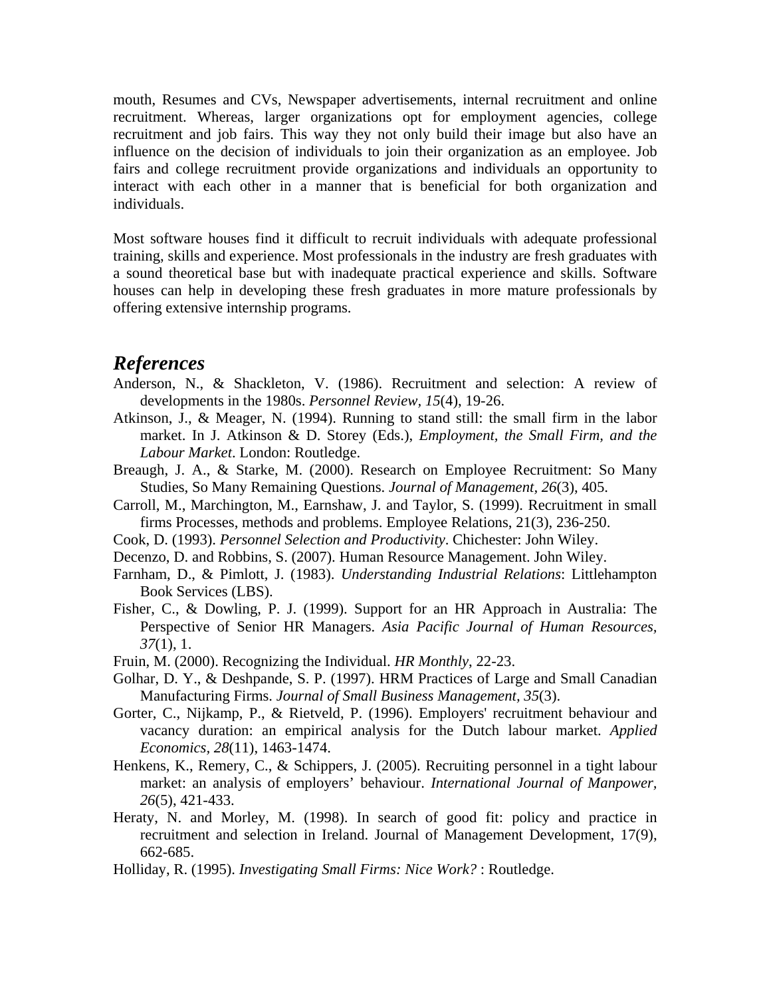mouth, Resumes and CVs, Newspaper advertisements, internal recruitment and online recruitment. Whereas, larger organizations opt for employment agencies, college recruitment and job fairs. This way they not only build their image but also have an influence on the decision of individuals to join their organization as an employee. Job fairs and college recruitment provide organizations and individuals an opportunity to interact with each other in a manner that is beneficial for both organization and individuals.

Most software houses find it difficult to recruit individuals with adequate professional training, skills and experience. Most professionals in the industry are fresh graduates with a sound theoretical base but with inadequate practical experience and skills. Software houses can help in developing these fresh graduates in more mature professionals by offering extensive internship programs.

#### *References*

- Anderson, N., & Shackleton, V. (1986). Recruitment and selection: A review of developments in the 1980s. *Personnel Review, 15*(4), 19-26.
- Atkinson, J., & Meager, N. (1994). Running to stand still: the small firm in the labor market. In J. Atkinson & D. Storey (Eds.), *Employment, the Small Firm, and the Labour Market*. London: Routledge.
- Breaugh, J. A., & Starke, M. (2000). Research on Employee Recruitment: So Many Studies, So Many Remaining Questions. *Journal of Management, 26*(3), 405.
- Carroll, M., Marchington, M., Earnshaw, J. and Taylor, S. (1999). Recruitment in small firms Processes, methods and problems. Employee Relations, 21(3), 236-250.
- Cook, D. (1993). *Personnel Selection and Productivity*. Chichester: John Wiley.
- Decenzo, D. and Robbins, S. (2007). Human Resource Management. John Wiley.
- Farnham, D., & Pimlott, J. (1983). *Understanding Industrial Relations*: Littlehampton Book Services (LBS).
- Fisher, C., & Dowling, P. J. (1999). Support for an HR Approach in Australia: The Perspective of Senior HR Managers. *Asia Pacific Journal of Human Resources, 37*(1), 1.
- Fruin, M. (2000). Recognizing the Individual. *HR Monthly*, 22-23.
- Golhar, D. Y., & Deshpande, S. P. (1997). HRM Practices of Large and Small Canadian Manufacturing Firms. *Journal of Small Business Management, 35*(3).
- Gorter, C., Nijkamp, P., & Rietveld, P. (1996). Employers' recruitment behaviour and vacancy duration: an empirical analysis for the Dutch labour market. *Applied Economics, 28*(11), 1463-1474.
- Henkens, K., Remery, C., & Schippers, J. (2005). Recruiting personnel in a tight labour market: an analysis of employers' behaviour. *International Journal of Manpower, 26*(5), 421-433.
- Heraty, N. and Morley, M. (1998). In search of good fit: policy and practice in recruitment and selection in Ireland. Journal of Management Development, 17(9), 662-685.
- Holliday, R. (1995). *Investigating Small Firms: Nice Work?* : Routledge.